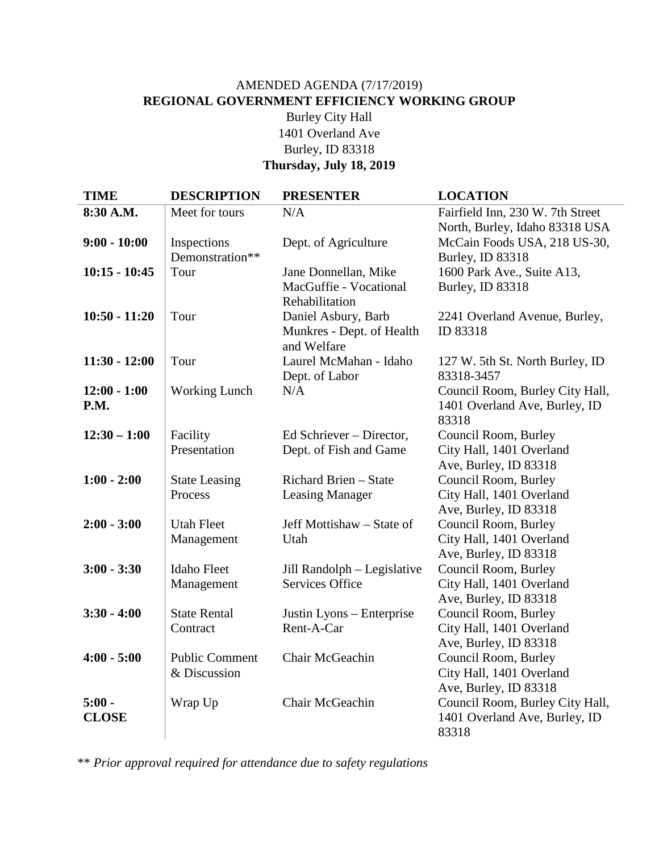# AMENDED AGENDA (7/17/2019) **REGIONAL GOVERNMENT EFFICIENCY WORKING GROUP** Burley City Hall 1401 Overland Ave Burley, ID 83318 **Thursday, July 18, 2019**

| <b>TIME</b>     | <b>DESCRIPTION</b>    | <b>PRESENTER</b>                         | <b>LOCATION</b>                  |
|-----------------|-----------------------|------------------------------------------|----------------------------------|
| 8:30 A.M.       | Meet for tours        | N/A                                      | Fairfield Inn, 230 W. 7th Street |
|                 |                       |                                          | North, Burley, Idaho 83318 USA   |
| $9:00 - 10:00$  | Inspections           | Dept. of Agriculture                     | McCain Foods USA, 218 US-30,     |
|                 | Demonstration**       |                                          | Burley, ID 83318                 |
| $10:15 - 10:45$ | Tour                  | Jane Donnellan, Mike                     | 1600 Park Ave., Suite A13,       |
|                 |                       | MacGuffie - Vocational<br>Rehabilitation | Burley, ID 83318                 |
| $10:50 - 11:20$ | Tour                  | Daniel Asbury, Barb                      | 2241 Overland Avenue, Burley,    |
|                 |                       | Munkres - Dept. of Health                | ID 83318                         |
|                 |                       | and Welfare                              |                                  |
| $11:30 - 12:00$ | Tour                  | Laurel McMahan - Idaho                   | 127 W. 5th St. North Burley, ID  |
|                 |                       | Dept. of Labor                           | 83318-3457                       |
| $12:00 - 1:00$  | <b>Working Lunch</b>  | N/A                                      | Council Room, Burley City Hall,  |
| P.M.            |                       |                                          | 1401 Overland Ave, Burley, ID    |
|                 |                       |                                          | 83318                            |
| $12:30 - 1:00$  | Facility              | Ed Schriever – Director,                 | Council Room, Burley             |
|                 | Presentation          | Dept. of Fish and Game                   | City Hall, 1401 Overland         |
|                 |                       |                                          | Ave, Burley, ID 83318            |
| $1:00 - 2:00$   | <b>State Leasing</b>  | Richard Brien - State                    | Council Room, Burley             |
|                 | Process               | <b>Leasing Manager</b>                   | City Hall, 1401 Overland         |
|                 |                       |                                          | Ave, Burley, ID 83318            |
| $2:00 - 3:00$   | <b>Utah Fleet</b>     | Jeff Mottishaw – State of                | Council Room, Burley             |
|                 | Management            | Utah                                     | City Hall, 1401 Overland         |
|                 |                       |                                          | Ave, Burley, ID 83318            |
| $3:00 - 3:30$   | <b>Idaho</b> Fleet    | Jill Randolph - Legislative              | Council Room, Burley             |
|                 | Management            | <b>Services Office</b>                   | City Hall, 1401 Overland         |
|                 |                       |                                          | Ave, Burley, ID 83318            |
| $3:30 - 4:00$   | <b>State Rental</b>   | Justin Lyons – Enterprise                | Council Room, Burley             |
|                 | Contract              | Rent-A-Car                               | City Hall, 1401 Overland         |
|                 |                       |                                          | Ave, Burley, ID 83318            |
| $4:00 - 5:00$   | <b>Public Comment</b> | Chair McGeachin                          | Council Room, Burley             |
|                 | & Discussion          |                                          | City Hall, 1401 Overland         |
|                 |                       |                                          | Ave, Burley, ID 83318            |
| $5:00 -$        | Wrap Up               | Chair McGeachin                          | Council Room, Burley City Hall,  |
| <b>CLOSE</b>    |                       |                                          | 1401 Overland Ave, Burley, ID    |
|                 |                       |                                          | 83318                            |

\*\* *Prior approval required for attendance due to safety regulations*